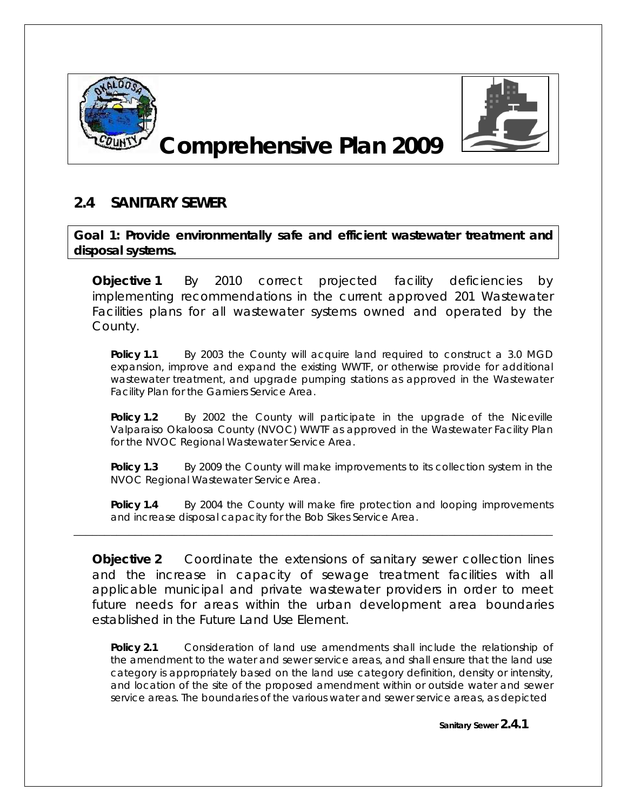

## **Comprehensive Plan 2009**



## **2.4 SANITARY SEWER**

**Goal 1: Provide environmentally safe and efficient wastewater treatment and disposal systems.**

*Objective 1 By 2010 correct projected facility deficiencies by implementing recommendations in the current approved 201 Wastewater Facilities plans for all wastewater systems owned and operated by the County.* 

**Policy 1.1** By 2003 the County will acquire land required to construct a 3.0 MGD expansion, improve and expand the existing WWTF, or otherwise provide for additional wastewater treatment, and upgrade pumping stations as approved in the Wastewater Facility Plan for the Garniers Service Area.

**Policy 1.2** By 2002 the County will participate in the upgrade of the Niceville Valparaiso Okaloosa County (NVOC) WWTF as approved in the Wastewater Facility Plan for the NVOC Regional Wastewater Service Area.

**Policy 1.3** By 2009 the County will make improvements to its collection system in the NVOC Regional Wastewater Service Area.

**Policy 1.4** By 2004 the County will make fire protection and looping improvements and increase disposal capacity for the Bob Sikes Service Area.

*Objective 2 Coordinate the extensions of sanitary sewer collection lines*  and the increase in capacity of sewage treatment facilities with all *applicable municipal and private wastewater providers in order to meet future needs for areas within the urban development area boundaries established in the Future Land Use Element*.

\_\_\_\_\_\_\_\_\_\_\_\_\_\_\_\_\_\_\_\_\_\_\_\_\_\_\_\_\_\_\_\_\_\_\_\_\_\_\_\_\_\_\_\_\_\_\_\_\_\_\_\_\_\_\_\_\_\_\_\_\_\_\_\_\_\_\_\_\_\_\_\_\_\_\_\_\_\_

**Policy 2.1** Consideration of land use amendments shall include the relationship of the amendment to the water and sewer service areas, and shall ensure that the land use category is appropriately based on the land use category definition, density or intensity, and location of the site of the proposed amendment within or outside water and sewer service areas. The boundaries of the various water and sewer service areas, as depicted

**Sanitary Sewer 2.4.1**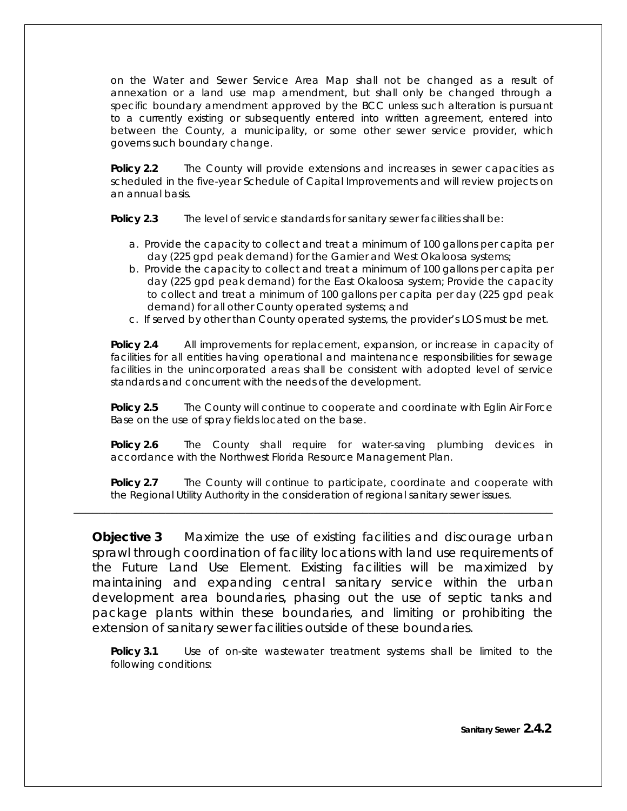on the Water and Sewer Service Area Map shall not be changed as a result of annexation or a land use map amendment, but shall only be changed through a specific boundary amendment approved by the BCC unless such alteration is pursuant to a currently existing or subsequently entered into written agreement, entered into between the County, a municipality, or some other sewer service provider, which governs such boundary change.

**Policy 2.2** The County will provide extensions and increases in sewer capacities as scheduled in the five-year Schedule of Capital Improvements and will review projects on an annual basis.

**Policy 2.3** The level of service standards for sanitary sewer facilities shall be:

- a. Provide the capacity to collect and treat a minimum of 100 gallons per capita per day (225 gpd peak demand) for the Garnier and West Okaloosa systems;
- b. Provide the capacity to collect and treat a minimum of 100 gallons per capita per day (225 gpd peak demand) for the East Okaloosa system; Provide the capacity to collect and treat a minimum of 100 gallons per capita per day (225 gpd peak demand) for all other County operated systems; and
- c. If served by other than County operated systems, the provider's LOS must be met.

**Policy 2.4** All improvements for replacement, expansion, or increase in capacity of facilities for all entities having operational and maintenance responsibilities for sewage facilities in the unincorporated areas shall be consistent with adopted level of service standards and concurrent with the needs of the development.

**Policy 2.5** The County will continue to cooperate and coordinate with Eglin Air Force Base on the use of spray fields located on the base.

**Policy 2.6** The County shall require for water-saving plumbing devices in accordance with the Northwest Florida Resource Management Plan.

**Policy 2.7** The County will continue to participate, coordinate and cooperate with the Regional Utility Authority in the consideration of regional sanitary sewer issues.

\_\_\_\_\_\_\_\_\_\_\_\_\_\_\_\_\_\_\_\_\_\_\_\_\_\_\_\_\_\_\_\_\_\_\_\_\_\_\_\_\_\_\_\_\_\_\_\_\_\_\_\_\_\_\_\_\_\_\_\_\_\_\_\_\_\_\_\_\_\_\_\_\_\_\_\_\_\_

*Objective 3 Maximize the use of existing facilities and discourage urban sprawl through coordination of facility locations with land use requirements of the Future Land Use Element. Existing facilities will be maximized by maintaining and expanding central sanitary service within the urban development area boundaries, phasing out the use of septic tanks and package plants within these boundaries, and limiting or prohibiting the extension of sanitary sewer facilities outside of these boundaries.* 

**Policy 3.1** Use of on-site wastewater treatment systems shall be limited to the following conditions: